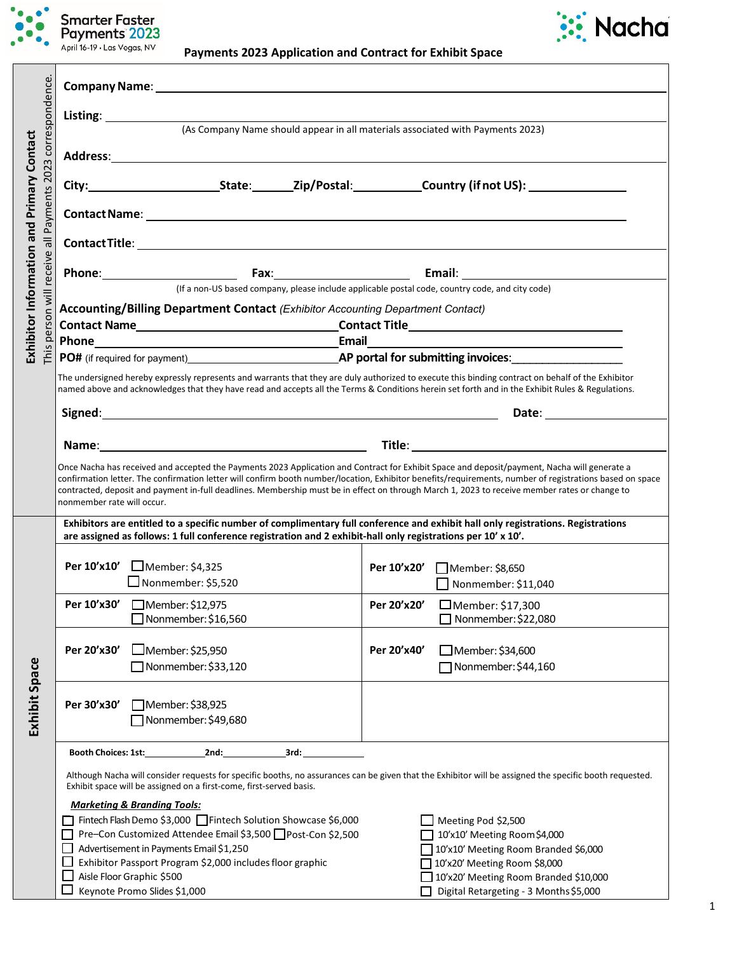

# **Payments 2023 Application and Contract for Exhibit Space**



| correspondence.                  | (As Company Name should appear in all materials associated with Payments 2023)                                                                                                                                                                                                                                                                                                                                                                                                          |                                                                                                                                                                                                                                        |             |                                                                                                                                                                                                                                |  |  |  |
|----------------------------------|-----------------------------------------------------------------------------------------------------------------------------------------------------------------------------------------------------------------------------------------------------------------------------------------------------------------------------------------------------------------------------------------------------------------------------------------------------------------------------------------|----------------------------------------------------------------------------------------------------------------------------------------------------------------------------------------------------------------------------------------|-------------|--------------------------------------------------------------------------------------------------------------------------------------------------------------------------------------------------------------------------------|--|--|--|
| $\boldsymbol{\mathsf{m}}$        |                                                                                                                                                                                                                                                                                                                                                                                                                                                                                         |                                                                                                                                                                                                                                        |             |                                                                                                                                                                                                                                |  |  |  |
| and Primary Contact<br>202       |                                                                                                                                                                                                                                                                                                                                                                                                                                                                                         | City: City: City: City: City: Country (if not US): Country (if not US):                                                                                                                                                                |             |                                                                                                                                                                                                                                |  |  |  |
| Payments                         |                                                                                                                                                                                                                                                                                                                                                                                                                                                                                         |                                                                                                                                                                                                                                        |             |                                                                                                                                                                                                                                |  |  |  |
| $\overline{5}$                   |                                                                                                                                                                                                                                                                                                                                                                                                                                                                                         |                                                                                                                                                                                                                                        |             |                                                                                                                                                                                                                                |  |  |  |
| Exhibitor Information<br>receive |                                                                                                                                                                                                                                                                                                                                                                                                                                                                                         |                                                                                                                                                                                                                                        |             |                                                                                                                                                                                                                                |  |  |  |
|                                  | (If a non-US based company, please include applicable postal code, country code, and city code)                                                                                                                                                                                                                                                                                                                                                                                         |                                                                                                                                                                                                                                        |             |                                                                                                                                                                                                                                |  |  |  |
| $\overline{\overline{z}}$        | Accounting/Billing Department Contact (Exhibitor Accounting Department Contact)                                                                                                                                                                                                                                                                                                                                                                                                         |                                                                                                                                                                                                                                        |             |                                                                                                                                                                                                                                |  |  |  |
| ersor                            |                                                                                                                                                                                                                                                                                                                                                                                                                                                                                         |                                                                                                                                                                                                                                        |             |                                                                                                                                                                                                                                |  |  |  |
|                                  |                                                                                                                                                                                                                                                                                                                                                                                                                                                                                         | Email<br>Phone Phone Phone Phone Phone Phone Phone Phone Phone Phone Phone Phone Phone Phone Phone Phone Phone Phone Phone Phone Phone Phone Phone Phone Phone Phone Phone Phone Phone Phone Phone Phone Phone Phone Phone Phone Phone |             |                                                                                                                                                                                                                                |  |  |  |
| This                             |                                                                                                                                                                                                                                                                                                                                                                                                                                                                                         |                                                                                                                                                                                                                                        |             |                                                                                                                                                                                                                                |  |  |  |
|                                  | The undersigned hereby expressly represents and warrants that they are duly authorized to execute this binding contract on behalf of the Exhibitor<br>named above and acknowledges that they have read and accepts all the Terms & Conditions herein set forth and in the Exhibit Rules & Regulations.                                                                                                                                                                                  |                                                                                                                                                                                                                                        |             |                                                                                                                                                                                                                                |  |  |  |
|                                  |                                                                                                                                                                                                                                                                                                                                                                                                                                                                                         |                                                                                                                                                                                                                                        |             | Date: the contract of the contract of the contract of the contract of the contract of the contract of the contract of the contract of the contract of the contract of the contract of the contract of the contract of the cont |  |  |  |
|                                  |                                                                                                                                                                                                                                                                                                                                                                                                                                                                                         |                                                                                                                                                                                                                                        |             |                                                                                                                                                                                                                                |  |  |  |
|                                  | Once Nacha has received and accepted the Payments 2023 Application and Contract for Exhibit Space and deposit/payment, Nacha will generate a<br>confirmation letter. The confirmation letter will confirm booth number/location, Exhibitor benefits/requirements, number of registrations based on space<br>contracted, deposit and payment in-full deadlines. Membership must be in effect on through March 1, 2023 to receive member rates or change to<br>nonmember rate will occur. |                                                                                                                                                                                                                                        |             |                                                                                                                                                                                                                                |  |  |  |
|                                  | Exhibitors are entitled to a specific number of complimentary full conference and exhibit hall only registrations. Registrations<br>are assigned as follows: 1 full conference registration and 2 exhibit-hall only registrations per 10' x 10'.                                                                                                                                                                                                                                        |                                                                                                                                                                                                                                        |             |                                                                                                                                                                                                                                |  |  |  |
|                                  |                                                                                                                                                                                                                                                                                                                                                                                                                                                                                         | Per 10'x10' ■Member: \$4,325<br>$\Box$ Nonmember: \$5,520                                                                                                                                                                              |             | Per 10'x20' Member: \$8,650<br>$\Box$ Nonmember: \$11,040                                                                                                                                                                      |  |  |  |
|                                  |                                                                                                                                                                                                                                                                                                                                                                                                                                                                                         | Per 10'x30' □ Member: \$12,975                                                                                                                                                                                                         |             | Per 20'x20' □ Member: \$17,300                                                                                                                                                                                                 |  |  |  |
|                                  |                                                                                                                                                                                                                                                                                                                                                                                                                                                                                         | $\Box$ Nonmember: \$16,560                                                                                                                                                                                                             |             | $\Box$ Nonmember: \$22,080                                                                                                                                                                                                     |  |  |  |
|                                  | Per 20'x30'                                                                                                                                                                                                                                                                                                                                                                                                                                                                             | $\Box$ Member: \$25,950<br>$\Box$ Nonmember: \$33,120                                                                                                                                                                                  | Per 20'x40' | □ Member: \$34,600<br>Nonmember: \$44,160                                                                                                                                                                                      |  |  |  |
| Exhibit Space                    | Per 30'x30'                                                                                                                                                                                                                                                                                                                                                                                                                                                                             | Member: \$38,925<br>Nonmember: \$49,680                                                                                                                                                                                                |             |                                                                                                                                                                                                                                |  |  |  |
|                                  | Booth Choices: 1st:____________<br>3rd:<br>2nd:                                                                                                                                                                                                                                                                                                                                                                                                                                         |                                                                                                                                                                                                                                        |             |                                                                                                                                                                                                                                |  |  |  |
|                                  | Although Nacha will consider requests for specific booths, no assurances can be given that the Exhibitor will be assigned the specific booth requested.<br>Exhibit space will be assigned on a first-come, first-served basis.                                                                                                                                                                                                                                                          |                                                                                                                                                                                                                                        |             |                                                                                                                                                                                                                                |  |  |  |
|                                  |                                                                                                                                                                                                                                                                                                                                                                                                                                                                                         | <b>Marketing &amp; Branding Tools:</b>                                                                                                                                                                                                 |             |                                                                                                                                                                                                                                |  |  |  |
|                                  |                                                                                                                                                                                                                                                                                                                                                                                                                                                                                         | Fintech Flash Demo \$3,000 Fintech Solution Showcase \$6,000                                                                                                                                                                           |             | Meeting Pod \$2,500                                                                                                                                                                                                            |  |  |  |
|                                  |                                                                                                                                                                                                                                                                                                                                                                                                                                                                                         | Pre-Con Customized Attendee Email \$3,500 Post-Con \$2,500                                                                                                                                                                             |             | 10'x10' Meeting Room\$4,000                                                                                                                                                                                                    |  |  |  |
|                                  |                                                                                                                                                                                                                                                                                                                                                                                                                                                                                         | Advertisement in Payments Email \$1,250                                                                                                                                                                                                |             | 10'x10' Meeting Room Branded \$6,000                                                                                                                                                                                           |  |  |  |
|                                  |                                                                                                                                                                                                                                                                                                                                                                                                                                                                                         | Exhibitor Passport Program \$2,000 includes floor graphic                                                                                                                                                                              |             | 10'x20' Meeting Room \$8,000                                                                                                                                                                                                   |  |  |  |
|                                  |                                                                                                                                                                                                                                                                                                                                                                                                                                                                                         | Aisle Floor Graphic \$500                                                                                                                                                                                                              |             | 10'x20' Meeting Room Branded \$10,000                                                                                                                                                                                          |  |  |  |
|                                  |                                                                                                                                                                                                                                                                                                                                                                                                                                                                                         | Keynote Promo Slides \$1,000                                                                                                                                                                                                           |             | Digital Retargeting - 3 Months \$5,000                                                                                                                                                                                         |  |  |  |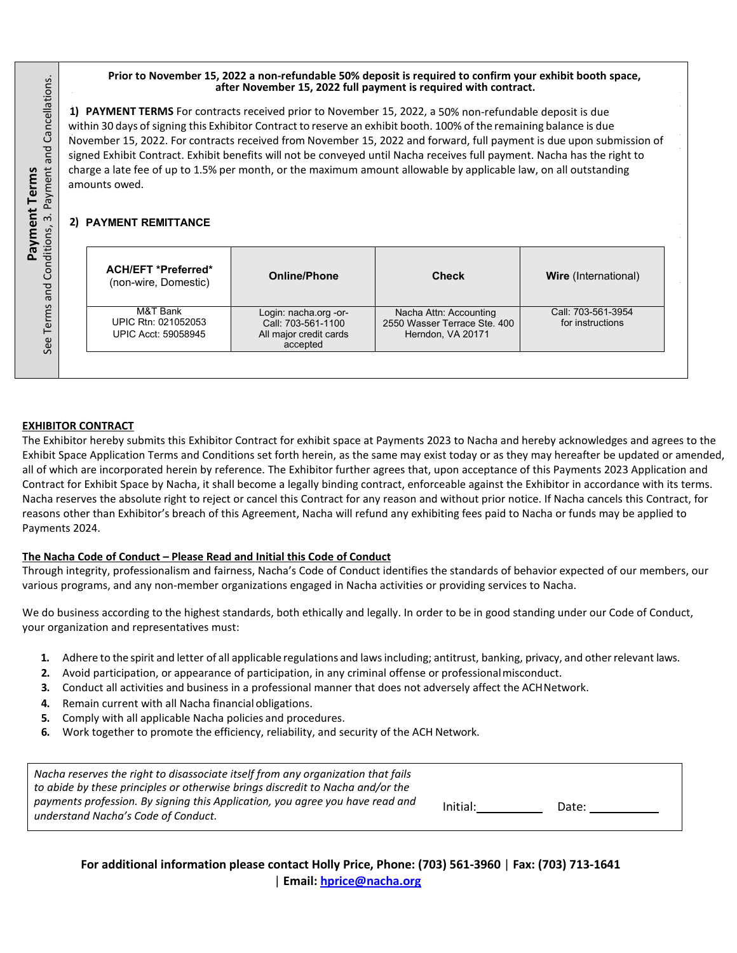#### **Prior to November 15, 2022 a non-refundable 50% deposit is required to confirm your exhibit booth space, after November 15, 2022 full payment is required with contract.**

**1) PAYMENT TERMS** For contracts received prior to November 15, 2022, a 50% non‐refundable deposit is due within 30 days of signing this Exhibitor Contract to reserve an exhibit booth. 100% of the remaining balance is due November 15, 2022. For contracts received from November 15, 2022 and forward, full payment is due upon submission of signed Exhibit Contract. Exhibit benefits will not be conveyed until Nacha receives full payment. Nacha has the right to charge a late fee of up to 1.5% per month, or the maximum amount allowable by applicable law, on all outstanding amounts owed.

## **2) PAYMENT REMITTANCE**

| <b>ACH/EFT *Preferred*</b><br>(non-wire, Domestic)     | <b>Online/Phone</b>                                                               | <b>Check</b>                                                                | <b>Wire</b> (International)            |
|--------------------------------------------------------|-----------------------------------------------------------------------------------|-----------------------------------------------------------------------------|----------------------------------------|
| M&T Bank<br>UPIC Rtn: 021052053<br>UPIC Acct: 59058945 | Login: nacha.org -or-<br>Call: 703-561-1100<br>All major credit cards<br>accepted | Nacha Attn: Accounting<br>2550 Wasser Terrace Ste. 400<br>Herndon, VA 20171 | Call: 703-561-3954<br>for instructions |

### **EXHIBITOR CONTRACT**

The Exhibitor hereby submits this Exhibitor Contract for exhibit space at Payments 2023 to Nacha and hereby acknowledges and agrees to the Exhibit Space Application Terms and Conditions set forth herein, as the same may exist today or as they may hereafter be updated or amended, all of which are incorporated herein by reference. The Exhibitor further agrees that, upon acceptance of this Payments 2023 Application and Contract for Exhibit Space by Nacha, it shall become a legally binding contract, enforceable against the Exhibitor in accordance with its terms. Nacha reserves the absolute right to reject or cancel this Contract for any reason and without prior notice. If Nacha cancels this Contract, for reasons other than Exhibitor's breach of this Agreement, Nacha will refund any exhibiting fees paid to Nacha or funds may be applied to Payments 2024. **understand Nacha's Conduct Properties of Conductions**<br>**understand Natha's Conduct Conditions**<br>**understand Conditions (and Conditions)**<br>**Example 2 PAYMENT REMITTANCE**<br>**Example 2 PAYMENT REMITTANCE**<br>**Example 2 PAYMENT REM** 

### **The Nacha Code of Conduct – Please Read and Initial this Code of Conduct**

Through integrity, professionalism and fairness, Nacha's Code of Conduct identifies the standards of behavior expected of our members, our various programs, and any non‐member organizations engaged in Nacha activities or providing services to Nacha.

We do business according to the highest standards, both ethically and legally. In order to be in good standing under our Code of Conduct, your organization and representatives must:

- **1.** Adhere to the spirit and letter of all applicable regulations and lawsincluding; antitrust, banking, privacy, and otherrelevant laws.
- **2.** Avoid participation, or appearance of participation, in any criminal offense or professionalmisconduct.
- <span id="page-1-0"></span>**3.** Conduct all activities and business in a professional manner that does not adversely affect the ACHNetwork.
- **4.** Remain current with all Nacha financialobligations.
- **5.** Comply with all applicable Nacha policies and procedures.
- **6.** Work together to promote the efficiency, reliability, and security of the ACH Network.

| Nacha reserves the right to disassociate itself from any organization that fails<br>to abide by these principles or otherwise brings discredit to Nacha and/or the |          |       |
|--------------------------------------------------------------------------------------------------------------------------------------------------------------------|----------|-------|
| payments profession. By signing this Application, you agree you have read and<br>understand Nacha's Code of Conduct.                                               | Initial: | Date: |

**For additional information please contact Holly Price, Phone: (703) 561-3960** | **Fax: (703) 713-1641** | **Email: [h](#page-1-0)[price@nacha.org](mailto:hprice@nacha.org)**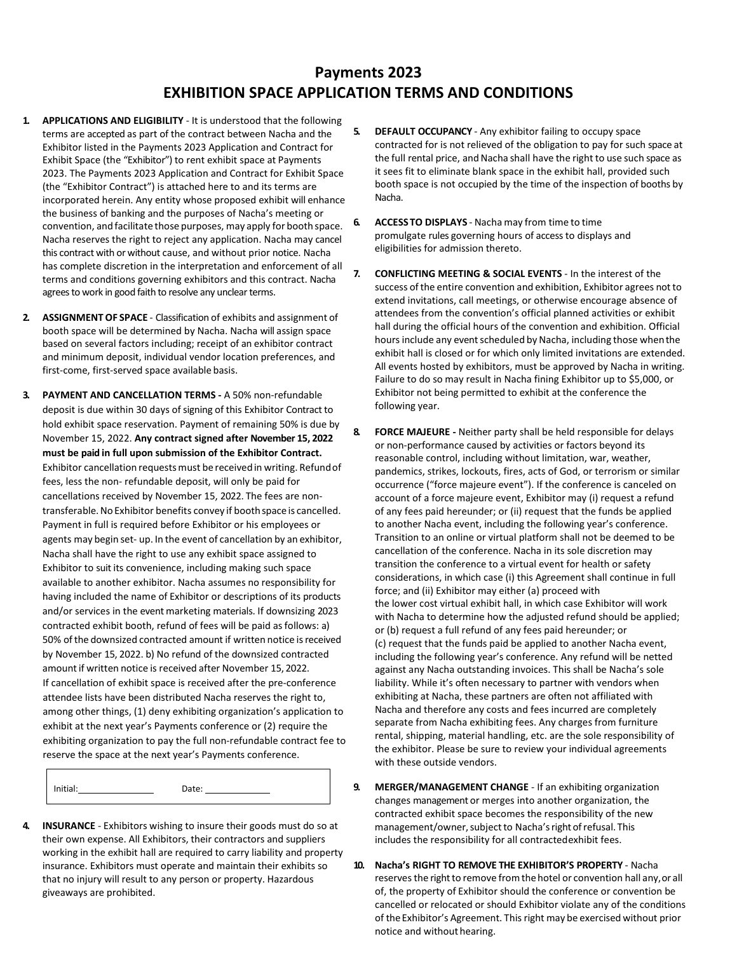# **Payments 2023 EXHIBITION SPACE APPLICATION TERMS AND CONDITIONS**

- **1. APPLICATIONS AND ELIGIBILITY** ‐ It is understood that the following terms are accepted as part of the contract between Nacha and the Exhibitor listed in the Payments 2023 Application and Contract for Exhibit Space (the "Exhibitor") to rent exhibit space at Payments 2023. The Payments 2023 Application and Contract for Exhibit Space (the "Exhibitor Contract") is attached here to and its terms are incorporated herein. Any entity whose proposed exhibit will enhance the business of banking and the purposes of Nacha's meeting or convention, and facilitate those purposes, may apply for booth space. Nacha reserves the right to reject any application. Nacha may cancel this contract with or without cause, and without prior notice. Nacha has complete discretion in the interpretation and enforcement of all terms and conditions governing exhibitors and this contract. Nacha agrees to work in good faith to resolve any unclear terms.
- **2. ASSIGNMENT OF SPACE** ‐ Classification of exhibits and assignment of booth space will be determined by Nacha. Nacha will assign space based on several factors including; receipt of an exhibitor contract and minimum deposit, individual vendor location preferences, and first-come, first-served space available basis.
- **3. PAYMENT AND CANCELLATION TERMS -** A 50% non‐refundable deposit is due within 30 days of signing of this Exhibitor Contract to hold exhibit space reservation. Payment of remaining 50% is due by November 15, 2022. **Any contract signed after November 15, 2022 must be paid in full upon submission of the Exhibitor Contract.**  Exhibitor cancellation requests must be received in writing. Refund of fees, less the non‐ refundable deposit, will only be paid for cancellations received by November 15, 2022. The fees are non‐ transferable. No Exhibitor benefits convey if booth space is cancelled. Payment in full is required before Exhibitor or his employees or agents may begin set- up. In the event of cancellation by an exhibitor, Nacha shall have the right to use any exhibit space assigned to Exhibitor to suit its convenience, including making such space available to another exhibitor. Nacha assumes no responsibility for having included the name of Exhibitor or descriptions of its products and/or services in the event marketing materials. If downsizing 2023 contracted exhibit booth, refund of fees will be paid as follows: a) 50% ofthe downsized contracted amount if written notice isreceived by November 15, 2022. b) No refund of the downsized contracted amount if written notice is received after November 15, 2022. If cancellation of exhibit space is received after the pre‐conference attendee lists have been distributed Nacha reserves the right to, among other things, (1) deny exhibiting organization's application to exhibit at the next year's Payments conference or (2) require the exhibiting organization to pay the full non-refundable contract fee to reserve the space at the next year's Payments conference.

Initial: Date:

**4. INSURANCE** ‐ Exhibitors wishing to insure their goods must do so at their own expense. All Exhibitors, their contractors and suppliers working in the exhibit hall are required to carry liability and property insurance. Exhibitors must operate and maintain their exhibits so that no injury will result to any person or property. Hazardous giveaways are prohibited.

- **5. DEFAULT OCCUPANCY** Any exhibitor failing to occupy space contracted for is not relieved of the obligation to pay for such space at the full rental price, and Nacha shall have the right to use such space as it sees fit to eliminate blank space in the exhibit hall, provided such booth space is not occupied by the time of the inspection of booths by Nacha.
- **6. ACCESS TO DISPLAYS** ‐ Nacha may from time to time promulgate rules governing hours of access to displays and eligibilities for admission thereto.
- **7. CONFLICTING MEETING & SOCIAL EVENTS** ‐ In the interest of the success of the entire convention and exhibition, Exhibitor agrees not to extend invitations, call meetings, or otherwise encourage absence of attendees from the convention's official planned activities or exhibit hall during the official hours of the convention and exhibition. Official hours include any event scheduled by Nacha, including those when the exhibit hall is closed or for which only limited invitations are extended. All events hosted by exhibitors, must be approved by Nacha in writing. Failure to do so may result in Nacha fining Exhibitor up to \$5,000, or Exhibitor not being permitted to exhibit at the conference the following year.
- **8. FORCE MAJEURE -** Neither party shall be held responsible for delays or non-performance caused by activities or factors beyond its reasonable control, including without limitation, war, weather, pandemics, strikes, lockouts, fires, acts of God, or terrorism or similar occurrence ("force majeure event"). If the conference is canceled on account of a force majeure event, Exhibitor may (i) request a refund of any fees paid hereunder; or (ii) request that the funds be applied to another Nacha event, including the following year's conference. Transition to an online or virtual platform shall not be deemed to be cancellation of the conference. Nacha in its sole discretion may transition the conference to a virtual event for health or safety considerations, in which case (i) this Agreement shall continue in full force; and (ii) Exhibitor may either (a) proceed with the lower cost virtual exhibit hall, in which case Exhibitor will work with Nacha to determine how the adjusted refund should be applied; or (b) request a full refund of any fees paid hereunder; or (c) request that the funds paid be applied to another Nacha event, including the following year's conference. Any refund will be netted against any Nacha outstanding invoices. This shall be Nacha's sole liability. While it's often necessary to partner with vendors when exhibiting at Nacha, these partners are often not affiliated with Nacha and therefore any costs and fees incurred are completely separate from Nacha exhibiting fees. Any charges from furniture rental, shipping, material handling, etc. are the sole responsibility of the exhibitor. Please be sure to review your individual agreements with these outside vendors.
- **9. MERGER/MANAGEMENT CHANGE** ‐ If an exhibiting organization changes management or merges into another organization, the contracted exhibit space becomes the responsibility of the new management/owner, subject to Nacha's right of refusal. This includes the responsibility for all contractedexhibit fees.
- **10. Nacha's RIGHT TO REMOVE THE EXHIBITOR'S PROPERTY** ‐ Nacha reserves the right to remove from the hotel or convention hall any, or all of, the property of Exhibitor should the conference or convention be cancelled or relocated or should Exhibitor violate any of the conditions of theExhibitor's Agreement. This right may be exercised without prior notice and without hearing.